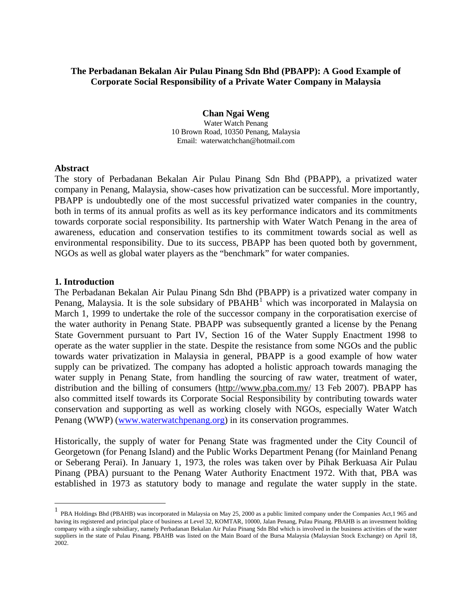# **The Perbadanan Bekalan Air Pulau Pinang Sdn Bhd (PBAPP): A Good Example of Corporate Social Responsibility of a Private Water Company in Malaysia**

**Chan Ngai Weng**  Water Watch Penang 10 Brown Road, 10350 Penang, Malaysia Email: waterwatchchan@hotmail.com

#### **Abstract**

The story of Perbadanan Bekalan Air Pulau Pinang Sdn Bhd (PBAPP), a privatized water company in Penang, Malaysia, show-cases how privatization can be successful. More importantly, PBAPP is undoubtedly one of the most successful privatized water companies in the country, both in terms of its annual profits as well as its key performance indicators and its commitments towards corporate social responsibility. Its partnership with Water Watch Penang in the area of awareness, education and conservation testifies to its commitment towards social as well as environmental responsibility. Due to its success, PBAPP has been quoted both by government, NGOs as well as global water players as the "benchmark" for water companies.

## **1. Introduction**

The Perbadanan Bekalan Air Pulau Pinang Sdn Bhd (PBAPP) is a privatized water company in Penang, Malaysia. It is the sole subsidary of  $PBAHB<sup>1</sup>$  $PBAHB<sup>1</sup>$  $PBAHB<sup>1</sup>$  which was incorporated in Malaysia on March 1, 1999 to undertake the role of the successor company in the corporatisation exercise of the water authority in Penang State. PBAPP was subsequently granted a license by the Penang State Government pursuant to Part IV, Section 16 of the Water Supply Enactment 1998 to operate as the water supplier in the state. Despite the resistance from some NGOs and the public towards water privatization in Malaysia in general, PBAPP is a good example of how water supply can be privatized. The company has adopted a holistic approach towards managing the water supply in Penang State, from handling the sourcing of raw water, treatment of water, distribution and the billing of consumers [\(http://www.pba.com.my/](http://www.pba.com.my/) 13 Feb 2007). PBAPP has also committed itself towards its Corporate Social Responsibility by contributing towards water conservation and supporting as well as working closely with NGOs, especially Water Watch Penang (WWP) ([www.waterwatchpenang.org\)](http://www.waterwatchpenang.org/) in its conservation programmes.

Historically, the supply of water for Penang State was fragmented under the City Council of Georgetown (for Penang Island) and the Public Works Department Penang (for Mainland Penang or Seberang Perai). In January 1, 1973, the roles was taken over by Pihak Berkuasa Air Pulau Pinang (PBA) pursuant to the Penang Water Authority Enactment 1972. With that, PBA was established in 1973 as statutory body to manage and regulate the water supply in the state.

<span id="page-0-0"></span><sup>&</sup>lt;sup>1</sup> PBA Holdings Bhd (PBAHB) was incorporated in Malaysia on May 25, 2000 as a public limited company under the Companies Act, 1 965 and having its registered and principal place of business at Level 32, KOMTAR, 10000, Jalan Penang, Pulau Pinang. PBAHB is an investment holding company with a single subsidiary, namely Perbadanan Bekalan Air Pulau Pinang Sdn Bhd which is involved in the business activities of the water suppliers in the state of Pulau Pinang. PBAHB was listed on the Main Board of the Bursa Malaysia (Malaysian Stock Exchange) on April 18, 2002.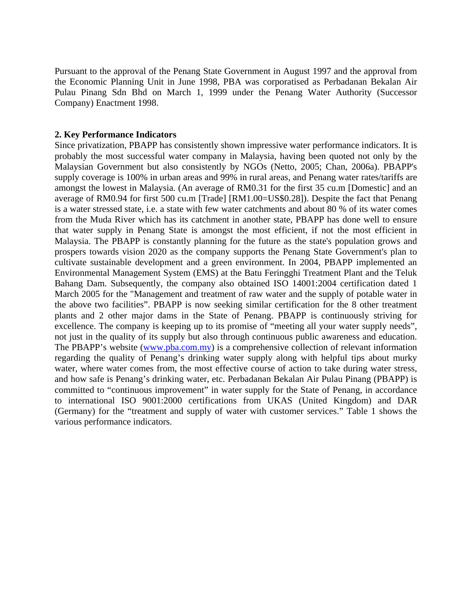Pursuant to the approval of the Penang State Government in August 1997 and the approval from the Economic Planning Unit in June 1998, PBA was corporatised as Perbadanan Bekalan Air Pulau Pinang Sdn Bhd on March 1, 1999 under the Penang Water Authority (Successor Company) Enactment 1998.

#### **2. Key Performance Indicators**

Since privatization, PBAPP has consistently shown impressive water performance indicators. It is probably the most successful water company in Malaysia, having been quoted not only by the Malaysian Government but also consistently by NGOs (Netto, 2005; Chan, 2006a). PBAPP's supply coverage is 100% in urban areas and 99% in rural areas, and Penang water rates/tariffs are amongst the lowest in Malaysia. (An average of RM0.31 for the first 35 cu.m [Domestic] and an average of RM0.94 for first 500 cu.m [Trade] [RM1.00=US\$0.28]). Despite the fact that Penang is a water stressed state, i.e. a state with few water catchments and about 80 % of its water comes from the Muda River which has its catchment in another state, PBAPP has done well to ensure that water supply in Penang State is amongst the most efficient, if not the most efficient in Malaysia. The PBAPP is constantly planning for the future as the state's population grows and prospers towards vision 2020 as the company supports the Penang State Government's plan to cultivate sustainable development and a green environment. In 2004, PBAPP implemented an Environmental Management System (EMS) at the Batu Feringghi Treatment Plant and the Teluk Bahang Dam. Subsequently, the company also obtained ISO 14001:2004 certification dated 1 March 2005 for the "Management and treatment of raw water and the supply of potable water in the above two facilities". PBAPP is now seeking similar certification for the 8 other treatment plants and 2 other major dams in the State of Penang. PBAPP is continuously striving for excellence. The company is keeping up to its promise of "meeting all your water supply needs", not just in the quality of its supply but also through continuous public awareness and education. The PBAPP's website [\(www.pba.com.my](http://www.pba.com.my/)) is a comprehensive collection of relevant information regarding the quality of Penang's drinking water supply along with helpful tips about murky water, where water comes from, the most effective course of action to take during water stress, and how safe is Penang's drinking water, etc. Perbadanan Bekalan Air Pulau Pinang (PBAPP) is committed to "continuous improvement" in water supply for the State of Penang, in accordance to international ISO 9001:2000 certifications from UKAS (United Kingdom) and DAR (Germany) for the "treatment and supply of water with customer services." Table 1 shows the various performance indicators.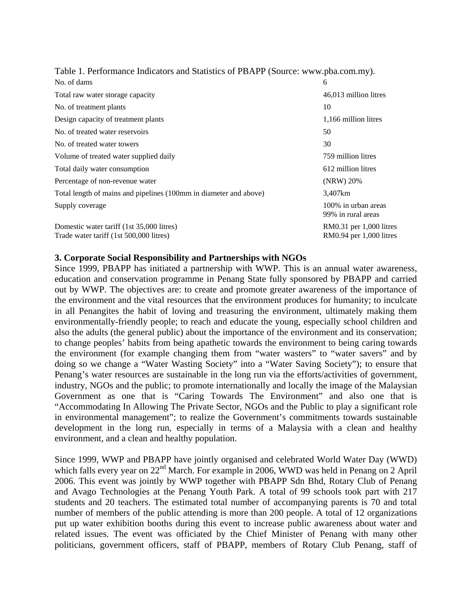| Table 1. I chominance maleators and biatistics of TD/M T (bource, www.poa.com.inf). |                                           |
|-------------------------------------------------------------------------------------|-------------------------------------------|
| No. of dams                                                                         | 6                                         |
| Total raw water storage capacity                                                    | 46,013 million litres                     |
| No. of treatment plants                                                             | 10                                        |
| Design capacity of treatment plants                                                 | 1,166 million litres                      |
| No. of treated water reservoirs                                                     | 50                                        |
| No. of treated water towers                                                         | 30                                        |
| Volume of treated water supplied daily                                              | 759 million litres                        |
| Total daily water consumption                                                       | 612 million litres                        |
| Percentage of non-revenue water                                                     | $(NRW)$ 20%                               |
| Total length of mains and pipelines (100mm in diameter and above)                   | 3,407km                                   |
| Supply coverage                                                                     | 100% in urban areas<br>99% in rural areas |
| Domestic water tariff (1st 35,000 litres)                                           | RM0.31 per 1,000 litres                   |
| Trade water tariff (1st 500,000 litres)                                             | RM0.94 per 1,000 litres                   |

Table 1. Performance Indicators and Statistics of PBAPP (Source: www.pba.com.my).

## **3. Corporate Social Responsibility and Partnerships with NGOs**

Since 1999, PBAPP has initiated a partnership with WWP. This is an annual water awareness, education and conservation programme in Penang State fully sponsored by PBAPP and carried out by WWP. The objectives are: to create and promote greater awareness of the importance of the environment and the vital resources that the environment produces for humanity; to inculcate in all Penangites the habit of loving and treasuring the environment, ultimately making them environmentally-friendly people; to reach and educate the young, especially school children and also the adults (the general public) about the importance of the environment and its conservation; to change peoples' habits from being apathetic towards the environment to being caring towards the environment (for example changing them from "water wasters" to "water savers" and by doing so we change a "Water Wasting Society" into a "Water Saving Society"); to ensure that Penang's water resources are sustainable in the long run via the efforts/activities of government, industry, NGOs and the public; to promote internationally and locally the image of the Malaysian Government as one that is "Caring Towards The Environment" and also one that is "Accommodating In Allowing The Private Sector, NGOs and the Public to play a significant role in environmental management"; to realize the Government's commitments towards sustainable development in the long run, especially in terms of a Malaysia with a clean and healthy environment, and a clean and healthy population.

Since 1999, WWP and PBAPP have jointly organised and celebrated World Water Day (WWD) which falls every year on 22<sup>nd</sup> March. For example in 2006, WWD was held in Penang on 2 April 2006. This event was jointly by WWP together with PBAPP Sdn Bhd, Rotary Club of Penang and Avago Technologies at the Penang Youth Park. A total of 99 schools took part with 217 students and 20 teachers. The estimated total number of accompanying parents is 70 and total number of members of the public attending is more than 200 people. A total of 12 organizations put up water exhibition booths during this event to increase public awareness about water and related issues. The event was officiated by the Chief Minister of Penang with many other politicians, government officers, staff of PBAPP, members of Rotary Club Penang, staff of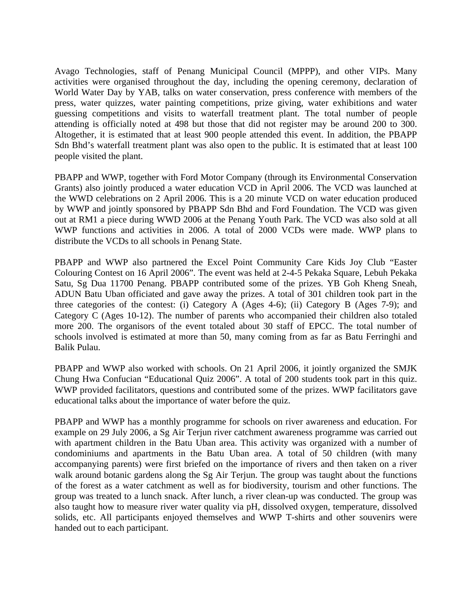Avago Technologies, staff of Penang Municipal Council (MPPP), and other VIPs. Many activities were organised throughout the day, including the opening ceremony, declaration of World Water Day by YAB, talks on water conservation, press conference with members of the press, water quizzes, water painting competitions, prize giving, water exhibitions and water guessing competitions and visits to waterfall treatment plant. The total number of people attending is officially noted at 498 but those that did not register may be around 200 to 300. Altogether, it is estimated that at least 900 people attended this event. In addition, the PBAPP Sdn Bhd's waterfall treatment plant was also open to the public. It is estimated that at least 100 people visited the plant.

PBAPP and WWP, together with Ford Motor Company (through its Environmental Conservation Grants) also jointly produced a water education VCD in April 2006. The VCD was launched at the WWD celebrations on 2 April 2006. This is a 20 minute VCD on water education produced by WWP and jointly sponsored by PBAPP Sdn Bhd and Ford Foundation. The VCD was given out at RM1 a piece during WWD 2006 at the Penang Youth Park. The VCD was also sold at all WWP functions and activities in 2006. A total of 2000 VCDs were made. WWP plans to distribute the VCDs to all schools in Penang State.

PBAPP and WWP also partnered the Excel Point Community Care Kids Joy Club "Easter Colouring Contest on 16 April 2006". The event was held at 2-4-5 Pekaka Square, Lebuh Pekaka Satu, Sg Dua 11700 Penang. PBAPP contributed some of the prizes. YB Goh Kheng Sneah, ADUN Batu Uban officiated and gave away the prizes. A total of 301 children took part in the three categories of the contest: (i) Category A (Ages 4-6); (ii) Category B (Ages 7-9); and Category C (Ages 10-12). The number of parents who accompanied their children also totaled more 200. The organisors of the event totaled about 30 staff of EPCC. The total number of schools involved is estimated at more than 50, many coming from as far as Batu Ferringhi and Balik Pulau.

PBAPP and WWP also worked with schools. On 21 April 2006, it jointly organized the SMJK Chung Hwa Confucian "Educational Quiz 2006". A total of 200 students took part in this quiz. WWP provided facilitators, questions and contributed some of the prizes. WWP facilitators gave educational talks about the importance of water before the quiz.

PBAPP and WWP has a monthly programme for schools on river awareness and education. For example on 29 July 2006, a Sg Air Terjun river catchment awareness programme was carried out with apartment children in the Batu Uban area. This activity was organized with a number of condominiums and apartments in the Batu Uban area. A total of 50 children (with many accompanying parents) were first briefed on the importance of rivers and then taken on a river walk around botanic gardens along the Sg Air Terjun. The group was taught about the functions of the forest as a water catchment as well as for biodiversity, tourism and other functions. The group was treated to a lunch snack. After lunch, a river clean-up was conducted. The group was also taught how to measure river water quality via pH, dissolved oxygen, temperature, dissolved solids, etc. All participants enjoyed themselves and WWP T-shirts and other souvenirs were handed out to each participant.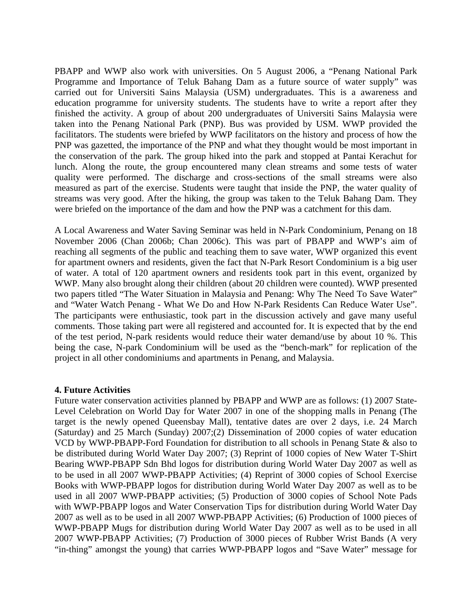PBAPP and WWP also work with universities. On 5 August 2006, a "Penang National Park Programme and Importance of Teluk Bahang Dam as a future source of water supply" was carried out for Universiti Sains Malaysia (USM) undergraduates. This is a awareness and education programme for university students. The students have to write a report after they finished the activity. A group of about 200 undergraduates of Universiti Sains Malaysia were taken into the Penang National Park (PNP). Bus was provided by USM. WWP provided the facilitators. The students were briefed by WWP facilitators on the history and process of how the PNP was gazetted, the importance of the PNP and what they thought would be most important in the conservation of the park. The group hiked into the park and stopped at Pantai Kerachut for lunch. Along the route, the group encountered many clean streams and some tests of water quality were performed. The discharge and cross-sections of the small streams were also measured as part of the exercise. Students were taught that inside the PNP, the water quality of streams was very good. After the hiking, the group was taken to the Teluk Bahang Dam. They were briefed on the importance of the dam and how the PNP was a catchment for this dam.

A Local Awareness and Water Saving Seminar was held in N-Park Condominium, Penang on 18 November 2006 (Chan 2006b; Chan 2006c). This was part of PBAPP and WWP's aim of reaching all segments of the public and teaching them to save water, WWP organized this event for apartment owners and residents, given the fact that N-Park Resort Condominium is a big user of water. A total of 120 apartment owners and residents took part in this event, organized by WWP. Many also brought along their children (about 20 children were counted). WWP presented two papers titled "The Water Situation in Malaysia and Penang: Why The Need To Save Water" and "Water Watch Penang - What We Do and How N-Park Residents Can Reduce Water Use". The participants were enthusiastic, took part in the discussion actively and gave many useful comments. Those taking part were all registered and accounted for. It is expected that by the end of the test period, N-park residents would reduce their water demand/use by about 10 %. This being the case, N-park Condominium will be used as the "bench-mark" for replication of the project in all other condominiums and apartments in Penang, and Malaysia.

## **4. Future Activities**

Future water conservation activities planned by PBAPP and WWP are as follows: (1) 2007 State-Level Celebration on World Day for Water 2007 in one of the shopping malls in Penang (The target is the newly opened Queensbay Mall), tentative dates are over 2 days, i.e. 24 March (Saturday) and 25 March (Sunday) 2007;(2) Dissemination of 2000 copies of water education VCD by WWP-PBAPP-Ford Foundation for distribution to all schools in Penang State & also to be distributed during World Water Day 2007; (3) Reprint of 1000 copies of New Water T-Shirt Bearing WWP-PBAPP Sdn Bhd logos for distribution during World Water Day 2007 as well as to be used in all 2007 WWP-PBAPP Activities; (4) Reprint of 3000 copies of School Exercise Books with WWP-PBAPP logos for distribution during World Water Day 2007 as well as to be used in all 2007 WWP-PBAPP activities; (5) Production of 3000 copies of School Note Pads with WWP-PBAPP logos and Water Conservation Tips for distribution during World Water Day 2007 as well as to be used in all 2007 WWP-PBAPP Activities; (6) Production of 1000 pieces of WWP-PBAPP Mugs for distribution during World Water Day 2007 as well as to be used in all 2007 WWP-PBAPP Activities; (7) Production of 3000 pieces of Rubber Wrist Bands (A very "in-thing" amongst the young) that carries WWP-PBAPP logos and "Save Water" message for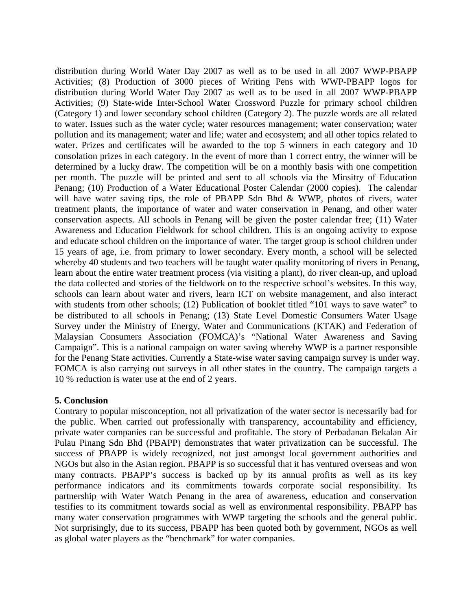distribution during World Water Day 2007 as well as to be used in all 2007 WWP-PBAPP Activities; (8) Production of 3000 pieces of Writing Pens with WWP-PBAPP logos for distribution during World Water Day 2007 as well as to be used in all 2007 WWP-PBAPP Activities; (9) State-wide Inter-School Water Crossword Puzzle for primary school children (Category 1) and lower secondary school children (Category 2). The puzzle words are all related to water. Issues such as the water cycle; water resources management; water conservation; water pollution and its management; water and life; water and ecosystem; and all other topics related to water. Prizes and certificates will be awarded to the top 5 winners in each category and 10 consolation prizes in each category. In the event of more than 1 correct entry, the winner will be determined by a lucky draw. The competition will be on a monthly basis with one competition per month. The puzzle will be printed and sent to all schools via the Minsitry of Education Penang; (10) Production of a Water Educational Poster Calendar (2000 copies). The calendar will have water saving tips, the role of PBAPP Sdn Bhd & WWP, photos of rivers, water treatment plants, the importance of water and water conservation in Penang, and other water conservation aspects. All schools in Penang will be given the poster calendar free; (11) Water Awareness and Education Fieldwork for school children. This is an ongoing activity to expose and educate school children on the importance of water. The target group is school children under 15 years of age, i.e. from primary to lower secondary. Every month, a school will be selected whereby 40 students and two teachers will be taught water quality monitoring of rivers in Penang, learn about the entire water treatment process (via visiting a plant), do river clean-up, and upload the data collected and stories of the fieldwork on to the respective school's websites. In this way, schools can learn about water and rivers, learn ICT on website management, and also interact with students from other schools; (12) Publication of booklet titled "101 ways to save water" to be distributed to all schools in Penang; (13) State Level Domestic Consumers Water Usage Survey under the Ministry of Energy, Water and Communications (KTAK) and Federation of Malaysian Consumers Association (FOMCA)'s "National Water Awareness and Saving Campaign". This is a national campaign on water saving whereby WWP is a partner responsible for the Penang State activities. Currently a State-wise water saving campaign survey is under way. FOMCA is also carrying out surveys in all other states in the country. The campaign targets a 10 % reduction is water use at the end of 2 years.

## **5. Conclusion**

Contrary to popular misconception, not all privatization of the water sector is necessarily bad for the public. When carried out professionally with transparency, accountability and efficiency, private water companies can be successful and profitable. The story of Perbadanan Bekalan Air Pulau Pinang Sdn Bhd (PBAPP) demonstrates that water privatization can be successful. The success of PBAPP is widely recognized, not just amongst local government authorities and NGOs but also in the Asian region. PBAPP is so successful that it has ventured overseas and won many contracts. PBAPP's success is backed up by its annual profits as well as its key performance indicators and its commitments towards corporate social responsibility. Its partnership with Water Watch Penang in the area of awareness, education and conservation testifies to its commitment towards social as well as environmental responsibility. PBAPP has many water conservation programmes with WWP targeting the schools and the general public. Not surprisingly, due to its success, PBAPP has been quoted both by government, NGOs as well as global water players as the "benchmark" for water companies.